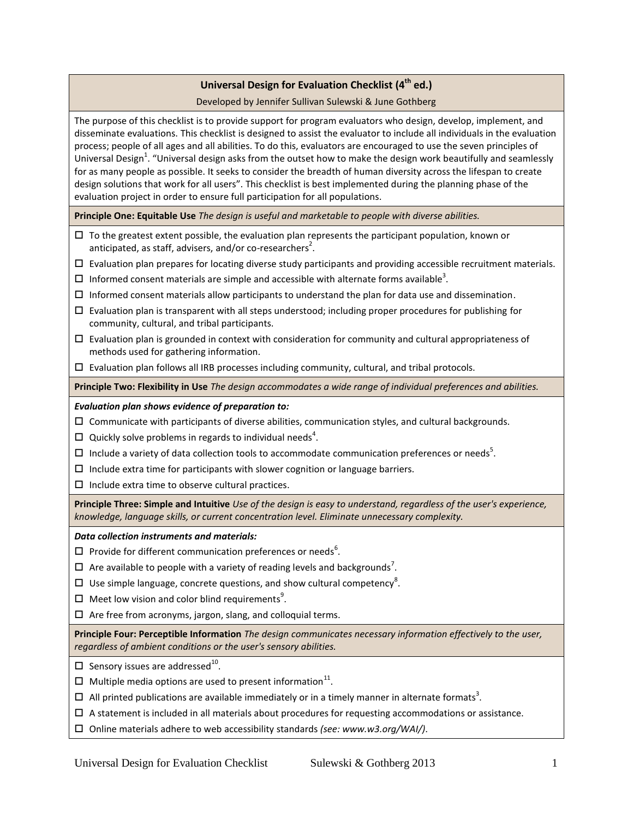# **Universal Design for Evaluation Checklist (4 th ed.)**

# Developed by Jennifer Sullivan Sulewski & June Gothberg

The purpose of this checklist is to provide support for program evaluators who design, develop, implement, and disseminate evaluations. This checklist is designed to assist the evaluator to include all individuals in the evaluation process; people of all ages and all abilities. To do this, evaluators are encouraged to use the seven principles of Universal Design<sup>1</sup>. "Universal design asks from the outset how to make the design work beautifully and seamlessly for as many people as possible. It seeks to consider the breadth of human diversity across the lifespan to create design solutions that work for all users". This checklist is best implemented during the planning phase of the evaluation project in order to ensure full participation for all populations.

**Principle One: Equitable Use** *The design is useful and marketable to people with diverse abilities.*

- $\Box$  To the greatest extent possible, the evaluation plan represents the participant population, known or anticipated, as staff, advisers, and/or co-researchers<sup>2</sup>.
- $\Box$  Evaluation plan prepares for locating diverse study participants and providing accessible recruitment materials.
- $\Box$  Informed consent materials are simple and accessible with alternate forms available<sup>3</sup>.
- $\Box$  Informed consent materials allow participants to understand the plan for data use and dissemination.
- $\Box$  Evaluation plan is transparent with all steps understood; including proper procedures for publishing for community, cultural, and tribal participants.
- $\Box$  Evaluation plan is grounded in context with consideration for community and cultural appropriateness of methods used for gathering information.
- $\Box$  Evaluation plan follows all IRB processes including community, cultural, and tribal protocols.

**Principle Two: Flexibility in Use** *The design accommodates a wide range of individual preferences and abilities.*

### *Evaluation plan shows evidence of preparation to:*

- $\square$  Communicate with participants of diverse abilities, communication styles, and cultural backgrounds.
- $\Box$  Quickly solve problems in regards to individual needs<sup>4</sup>.
- $\Box$  Include a variety of data collection tools to accommodate communication preferences or needs<sup>5</sup>.
- $\Box$  Include extra time for participants with slower cognition or language barriers.
- $\Box$  Include extra time to observe cultural practices.

**Principle Three: Simple and Intuitive** *Use of the design is easy to understand, regardless of the user's experience, knowledge, language skills, or current concentration level. Eliminate unnecessary complexity.*

*Data collection instruments and materials:*

- $\Box$  Provide for different communication preferences or needs<sup>6</sup>.
- $\Box$  Are available to people with a variety of reading levels and backgrounds<sup>7</sup>.
- $\Box$  Use simple language, concrete questions, and show cultural competency<sup>8</sup>.
- $\Box$  Meet low vision and color blind requirements<sup>9</sup>.
- $\Box$  Are free from acronyms, jargon, slang, and colloquial terms.

**Principle Four: Perceptible Information** *The design communicates necessary information effectively to the user, regardless of ambient conditions or the user's sensory abilities.*

- $\Box$  Sensory issues are addressed<sup>10</sup>.
- $\Box$  Multiple media options are used to present information<sup>11</sup>.
- $\Box$  All printed publications are available immediately or in a timely manner in alternate formats<sup>3</sup>.
- $\Box$  A statement is included in all materials about procedures for requesting accommodations or assistance.
- Online materials adhere to web accessibility standards *(see: www.w3.org/WAI/)*.